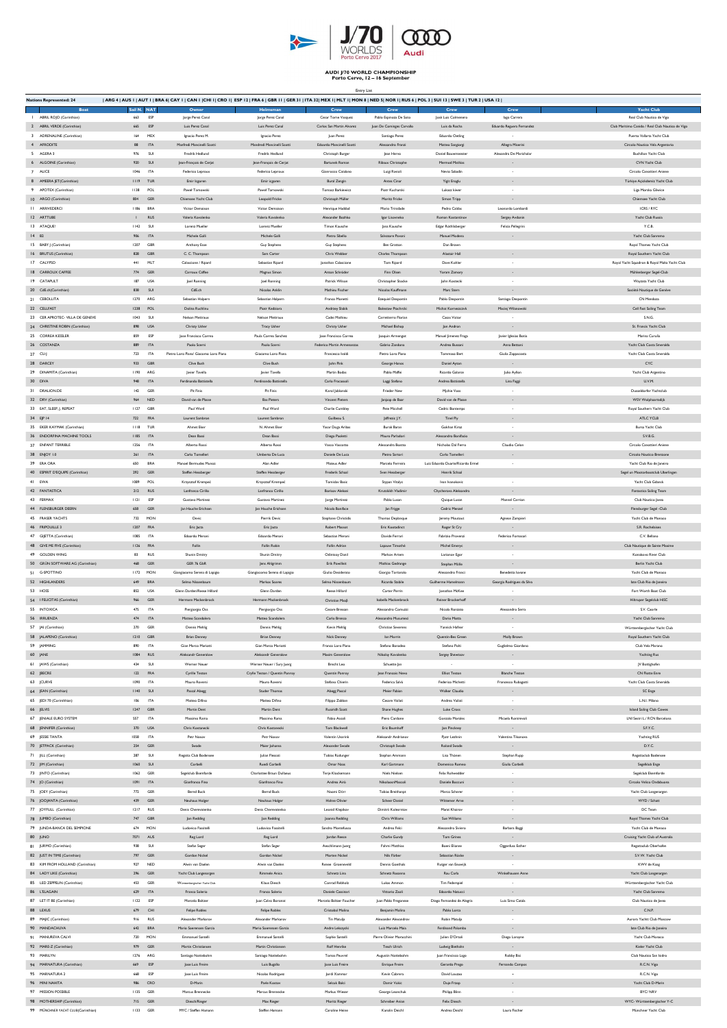

AUDI J/70 WORLD CHAMPIONSHIP<br>Porto Cervo, 12 - 16 September

| <b>Nations Represented: 24</b>                                   |              |                        |                                                                   | ARG 4   AUS I   AUT I   BRA 6  CAY I   CAN I  CHI I  CRO I  ESP 12   FRA 6   GBR 11   GER 31   ITA 32  MEX I  MLT I  MON 8   NED 5  NOR I  RUS 6   POL 3   SUI 13   SWE 3   TUR 2   USA 12 |                                                  |                                                     |                                         |                                           |                                                                               |
|------------------------------------------------------------------|--------------|------------------------|-------------------------------------------------------------------|--------------------------------------------------------------------------------------------------------------------------------------------------------------------------------------------|--------------------------------------------------|-----------------------------------------------------|-----------------------------------------|-------------------------------------------|-------------------------------------------------------------------------------|
| <b>Boat</b>                                                      |              | Sail N. NAT            | Owner                                                             | Helmsman                                                                                                                                                                                   | Crew                                             | Crew                                                | Crew                                    | Crew                                      | <b>Yacht Club</b>                                                             |
| ABRIL ROJO (Corinthian)<br>2 ABRIL VERDE (Corinthian)            | 663<br>665   |                        | ESP<br>Jorge Perez Canal<br>ESP<br>Luis Perez Canal               | Jorge Perez Canal<br>Luis Perez Canal                                                                                                                                                      | Cesar Torne Vasquez<br>Carlos San Martin Alvarez | Pablo Espinoza De Soto<br>Juan De Cominges Carvallo | Josè Luis Colmenero<br>Luis da Rocha    | lago Carrera<br>Eduardo Reguera Fernandez | Real Club Nautico de Vigo<br>Club Maritimo Canido / Real Club Nautico de Vigo |
| 3 ADRENALINE (Corinthian)                                        | 164          |                        | <b>MEX</b><br>Ignacio Perez M.                                    | Ignacio Perez                                                                                                                                                                              | Juan Perez                                       | Santiago Perez                                      | <b>Eduardo Oetling</b>                  |                                           | Puerto Vallarta Yacht Club                                                    |
| 4 AFRODITE                                                       | 88           | <b>ITA</b>             | Manfredi Mancinelli Scotti                                        | Mandredi Mancinelli Scotti                                                                                                                                                                 | Edoardo Mancinelli Scotti                        | Alessandro Franzi                                   | Matteo Sangiorgi                        | Allegra Miserini                          | Circolo Nautico Vela Argentario                                               |
| 5 AGERA 3                                                        | 976          | SUI                    | <b>Fredrik Hedlund</b>                                            | Fredrik Hedlund                                                                                                                                                                            | Christoph Burger                                 | Jean Hervo                                          | Daniel Bouwmeester                      | Alexandra De Marichalar                   | <b>Buchillon Yacht Club</b>                                                   |
| 6 ALGOINE (Corinthian)                                           | 920          |                        | SUI<br>Jean-François de Cerjat                                    | Jean-François de Cerjat                                                                                                                                                                    | Bartunek Roman                                   | Ribaux Christophe                                   | Mermod Mathias                          | $\sim$                                    | CVN Yacht Club                                                                |
| 7 ALICE                                                          | 1046         | <b>ITA</b>             | Federico Leproux                                                  | Federico Leproux                                                                                                                                                                           | Gianrocco Catalano                               | Luigi Ravioli                                       | Nevio Sabadin                           | $\sim$                                    | Circolo Canottieri Aniene                                                     |
| 8 AMEERA JET (Corinthian)                                        |              | <b>III9 TUR</b>        | Emir Icgoren                                                      | Emir icgoren                                                                                                                                                                               | <b>Bural Zengin</b>                              | Antes Cinar                                         | Yigit Eroglu                            |                                           | Türkiye Açickdemiz Yacht Club                                                 |
| 9 APOTEX (Corinthian)                                            | 1138         | POL                    | Paweł Tarnowski                                                   | Paweł Tarnowski                                                                                                                                                                            | Tomasz Barkiewicz                                | Piotr Kucharski                                     | Lukasz kiwer                            | $\sim$                                    | Liga Morska Gliwice                                                           |
| 10 ARGO (Corinthian)                                             | 804          | GER                    | Chiemsee Yacht Club                                               | Leopold Fricke                                                                                                                                                                             | Christoph Müller                                 | Moritz Fricke                                       | Simon Tripp                             | $\sim$                                    | Chiemsee Yacht Club                                                           |
| <b>II ARRIVEDERCI</b>                                            | 1186         | <b>BRA</b>             | Victor Demaison                                                   | Victor Demaison                                                                                                                                                                            | Henrique Haddad                                  | Mario Trinidade                                     | Pedro Caldas                            | Leonardo Lombardi                         | ICRS / RYC                                                                    |
| 12 ARTTUBE                                                       | $\mathbf{1}$ | <b>RUS</b>             | Valeria Kovalenko                                                 | Valeria Kovalenko                                                                                                                                                                          | Alexander Bozhko                                 | Igor Lisovneko                                      | Roman Kostantinov                       | Sergey Avdonin                            | Yacht Club Russia                                                             |
| 13 ATAQUE!                                                       | 1142         |                        | SUI<br>Lorenz Mueller                                             | <b>Lorenz Mueller</b>                                                                                                                                                                      | Timon Kausche                                    | Jana Kausche                                        | Edgar Röthlisberger                     | Felicia Pellegrini                        | Y.C.B.                                                                        |
| $14$ B <sub>2</sub>                                              | 906<br>1207  | <b>ITA</b><br>GBR      | Michele Galli                                                     | Michele Galli                                                                                                                                                                              | Pietro Sibello                                   | Salvatore Pavoni                                    | Manuel Modena                           | $\sim$                                    | Yacht Club Sanremo                                                            |
| 15 BABY J (Corinthian)<br>16 BRUTUS (Corinthian)                 |              | 828 GBR                | <b>Anthony Esse</b><br>C. C. Thompson                             | <b>Guy Stephens</b><br>Sam Carter                                                                                                                                                          | <b>Guy Stephens</b><br>Chris Webber              | <b>Ben Gratton</b><br>Charles Thompson              | Dan Brown<br>Alastair Hall              |                                           | Royal Thames Yacht Club<br>Royal Southern Yacht Club                          |
| 17 CALYPSO                                                       | 441          | MLT                    | Calascione / Ripard                                               | Sebastian Ripard                                                                                                                                                                           | Jonathan Calascione                              | Tom Ripard                                          | Dave Kohler                             |                                           | Royal Yacht Squadron & Royal Malta Yacht Club                                 |
| 18 CARROUX CAFFEE                                                | 774          | GER                    | Carroux Caffee                                                    | Magnus Simon                                                                                                                                                                               | Anton Schröder                                   | Finn Olsen                                          | Yoram Zamory                            | $\sim$                                    | Mühlenberger Segel-Club                                                       |
| 19 CATAPULT                                                      | 187          | <b>USA</b>             | Joel Ronning                                                      | Joel Ronning                                                                                                                                                                               | Patrick Wilson                                   | Christopher Stocke                                  | John Kostecki                           |                                           | Wayzata Yacht Club                                                            |
| 20 CdE.ch(Corinthian)                                            | 838          |                        | SUI<br>CdE.ch                                                     | Nicolas Anklin                                                                                                                                                                             | Mathieu Fischer                                  | Nicolas Kauffmann                                   | Marc Stern                              | $\sim$                                    | Société Nautique de Genève                                                    |
| 21 CEBOLLITA                                                     |              | 1270 ARG               | Sebastian Halpern                                                 | Sebastian Halpern                                                                                                                                                                          | Franco Monetti                                   | <b>Ezequiel Despontin</b>                           | Pablo Despontin                         | Santiago Despontin                        | CN Mendoza                                                                    |
| 22 CELLFAST                                                      |              | 1238 POL               | Dolina Ruchlinu                                                   | Piotr Kedziora                                                                                                                                                                             | Andrzey Slabik                                   | Bolestaw Ptachrcki                                  | Michat Korneszczvk                      | Maciej Wilanowski                         | Cell Fast Sailing Team                                                        |
| 23 CER APROTEC- VILLA DE GENEVE                                  | 1043         |                        | SUI<br>Nelson Mettraux                                            | Nelson Mettraux                                                                                                                                                                            | Cadei Mathieu                                    | Carretterro Florian                                 | Casas Victor                            | $\sim$                                    | S.N.G.                                                                        |
| 24 CHRISTINE ROBIN (Corinthian)                                  | 898          | <b>USA</b>             | Christy Usher                                                     | <b>Tracy Usher</b>                                                                                                                                                                         | Christy Usher                                    | Michael Bishop                                      | Jon Andron                              | ۰                                         | St. Francis Yacht Club                                                        |
| 25 CORREA KESSLER                                                | 859          |                        | ESP<br>Jose Francisco Correa                                      | Paula Correa Sanchez                                                                                                                                                                       | Jose Francisco Correa                            | Joaquin Armengot                                    | Manuel Jimenez Fraga                    | Javier Iglesias Botia                     | Marina Curuña                                                                 |
| 26 COSTANZA                                                      | 889          | <b>ITA</b>             | Paolo Scerni                                                      | Paolo Scerni                                                                                                                                                                               | Federico Martin Armenanzas                       | Gabrio Zandona                                      | Andrea Bussani                          | Anna Bettoni                              | Yacht Club Costa Smeralda                                                     |
| 27 CU-J<br>28 DARCEY                                             | 723<br>933   | GBR                    | <b>ITA</b><br>Pietro Loro Piana/ Giacomo Loro Piana<br>Clive Bush | Giacomo Loro Piana<br>Clive Bush                                                                                                                                                           | Francesco Ivaldi<br>John Pink                    | Pietro Loro Piana                                   | Tommaso Bert<br>Daniel Ayton            | Giulia Zappacosta<br>$\sim$               | Yacht Club Costa Smeralda<br>CYC                                              |
| 29 DINAMITA (Corinthian)                                         |              | 1190 ARG               | Javier Tavella                                                    | Javier Tavella                                                                                                                                                                             | Martin Bodas                                     | George Hanos<br>Pablo Maffei                        | Ricardo Galarce                         |                                           | Yacht Club Argentino                                                          |
| 30 DIVA                                                          |              | 948 ITA                | Ferdinando Battistella                                            | Ferdinando Battistella                                                                                                                                                                     | Carlo Fracassoli                                 | Laggi Stefano                                       | Andrea Battistella                      | Julio Ayllon<br>Lina Faggi                | <b>U.V.M.</b>                                                                 |
| 31 DRALION.DE                                                    |              | 142 GER                | Pit Finis                                                         | Pit Finis                                                                                                                                                                                  | Karol Jablonski                                  | Frieder New                                         | Mjchie Voss                             | $\sim$                                    | Dusseldorfer Yachtclub                                                        |
| 32 DRV (Corinthian)                                              | 964          | <b>NED</b>             | David van de Plasse                                               | <b>Bas Pieters</b>                                                                                                                                                                         | <b>Vincent Pieters</b>                           | Janjaap de Baar                                     | David van de Plasse                     | $\sim$                                    | WSV Wolphaartsdijk                                                            |
| 33 EAT, SLEEP, J, REPEAT                                         | 1127         | <b>GBR</b>             | Paul Ward                                                         | Paul Ward                                                                                                                                                                                  | Charlie Cumbley                                  | Pete Micchell                                       | Cedric Bontemps                         | $\sim$                                    | Royal Southern Yacht Club                                                     |
| 34 EJP 14                                                        |              | 722 FRA                | Laurent Sambron                                                   | Laurent Sambron                                                                                                                                                                            | Guilbeau S.                                      | Jaffrezic J.Y.                                      | Tinel Piy                               | ÷.                                        | ATLC YCLB                                                                     |
| 35 EKER KAYMAK (Corinthian)                                      |              | <b>III8</b> TUR        | <b>Ahmet Eker</b>                                                 | N. Ahmet Eker                                                                                                                                                                              | Yasar Doga Aribas                                | Burak Baran                                         | Gokhan Kiraz                            | $\sim$                                    | Bursa Yacht Club                                                              |
| 36 ENDORFINA MACHINE TOOLS                                       |              | 1185 ITA               | Dean Bassi                                                        | Dean Bassi                                                                                                                                                                                 | Diego Paoletti                                   | Mauro Parladori                                     | Alessandro Bonifacio                    | ÷.                                        | S.V.B.G.                                                                      |
| 37 ENFANT TERRIBLE                                               |              | 1256 ITA               | Alberto Rossi                                                     | Alberto Rossi                                                                                                                                                                              | Vasco Vascotto                                   | Alessandra Boatto                                   | Nicholas Dal Ferro                      | Claudio Celon                             | Circolo Canottieri Aniene                                                     |
| 38 ENJOY 1.0                                                     |              | 261 ITA                | Carlo Tomelleri                                                   | Umberto De Luca                                                                                                                                                                            | Daniele De Luca                                  | Pietro Sartori                                      | Carlo Tomelleri                         | ÷.                                        | Circolo Nautico Brenzone                                                      |
| 39 ERA ORA                                                       | 650          | <b>BRA</b>             | Manoel Bermudes Munoz                                             | Alan Adler                                                                                                                                                                                 | Mateus Adler                                     | Marcelo Ferreira                                    | Luiz Eduardo Duarte/Ricardo Ermel       | $\sim$                                    | Yacht Club Rio de Janeiro                                                     |
| 40 ESPIRIT D'EQUIPE (Corinthian)                                 |              | 292 GER                | Steffen Hessberger                                                | Steffen Hessberger                                                                                                                                                                         | Frederik Schaal                                  | Sven Hessberger                                     | Henrik Schaal                           |                                           | Segel un Mootorbootclub Uberlingen                                            |
| 41 EWA                                                           | 1089         |                        | POL<br>Krzysztof Krempeć                                          | Krzysztof Krempeć                                                                                                                                                                          | <b>Tomislav Basic</b>                            | Stypan Vitalyc                                      | Ivan Ivanokovic                         |                                           | Yacht Club Gdansk                                                             |
| 42 FANTASTICA                                                    |              | 212 RUS                | Lanfranco Cirillo                                                 | Lanfranco Cirillo                                                                                                                                                                          | <b>Borisov Aleksei</b>                           | Krutskikh Vladimir                                  | Chycherova Aleksandra                   | $\sim$                                    | <b>Fantastica Sailing Team</b>                                                |
| 43 FERMAX                                                        | 1121         |                        | ESP<br>Gustavo Martinez                                           | Gustavo Martinez                                                                                                                                                                           | Jorge Martinez                                   | Pablo Lusan                                         | Quique Lusan                            | Mannel Carrion                            | Club Nautico Javea                                                            |
| 44 FLENSBURGER DEERN                                             | 658          | GER                    | Jan Hauche Erichsen                                               | Jan Hauche Erichsen                                                                                                                                                                        | Nicola Boniface                                  | Jan Frigge                                          | Cedric Menzel                           | $\sim$                                    | Flensburger Segel -Club                                                       |
| 45 FRASER YACHTS                                                 | 732          |                        | MON<br>Devic                                                      | Pierrik Devic                                                                                                                                                                              | Stephane Christidis                              | Thomas Deplanque                                    | Jeremy Moutout                          | Agnese Zampieri                           | Yacht Club de Monaco                                                          |
| 46 FRIPOUILLE 3                                                  |              | 1207 FRA               | Eric Jacta                                                        | Eric Jacta                                                                                                                                                                                 | Robert Massot                                    | Eric Kootadinct                                     | Roger St Cry                            | $\sim$                                    | S.R. Rochelaises                                                              |
| 47 GIJETTA (Corinthian)                                          |              | 1085 ITA               | Edoardo Meroni                                                    | Edoardo Meroni                                                                                                                                                                             | Sebastian Meroni                                 | Davide Ferrari                                      | Fabrizio Provenzi                       | Federico Fornasari                        | C.V. Bellano                                                                  |
| 48 GIVE ME FIVE (Corinthian)<br>49 GOLDEN WING                   |              | 1126 FRA               | Follin                                                            | Follin Robin                                                                                                                                                                               | Follin Adrian                                    | Lapauw Timothé                                      | Michel Emeryc                           | $\sim$                                    | Club Nautique de Sainte Maxime                                                |
| 50 GRŬN SOFTWARE AG (Corinthian)                                 | 83<br>468    | <b>GER</b>             | <b>RUS</b><br>Shunin Dmitry<br>GER 76 GbR                         | Shunin Dmitry<br>Jens Ahlgrimm                                                                                                                                                             | Odintsoy Danil<br><b>Erik Powilleit</b>          | Markov Artem<br>Mathias Gedrange                    | Larionov Egor<br>Stephan Mölle          |                                           | Konakovo River Club<br>Berlin Yacht Club                                      |
| 51 G-SPOTTINO                                                    |              | 1172 MON               | Giangiacomo Serena di Lapigio                                     | Giangiacomo Serena di Lapigio                                                                                                                                                              | Giulio Desiderato                                | Giorgio Tortarolo                                   | Alessandro Franci                       | Benedetta lovane                          | Yacht Club de Monaco                                                          |
| 52 HIGHLANDERS                                                   | 649          | <b>BRA</b>             | Selmo Nissenbaum                                                  | Markos Soares                                                                                                                                                                              | Selmo Nissenbaum                                 | Ricardo Stabile                                     | Guilherme Hamelmann                     | Georgia Rodrigues da Silva                | late Club Rio de Janeiro                                                      |
| 53 HOSS                                                          | 852          | <b>USA</b>             | Glenn Darden/Reese Hillard                                        | Glenn Darden                                                                                                                                                                               | Reese Hillard                                    | Carter Perrin                                       | Jonathan McKee                          |                                           | Fort Worth Boat Club                                                          |
| 54   FELICITAS (Corinthian)                                      | 966          | GER                    | Hermann Mackenbrock                                               | Hermann Mackenbrock                                                                                                                                                                        | Christian Maaß                                   | Isabella Mackenbrock                                | Reiner Brockerhoff                      | $\sim$                                    | Hiltruper Segelclub HiSC                                                      |
| 55 INTOXICA                                                      | 475          | <b>ITA</b>             | Piergiorgio Oss                                                   | Piergiorgio Oss                                                                                                                                                                            | Cesare Bressan                                   | Alessandro Comuzzi                                  | Nicola Ronzato                          | Alessandro Serra                          | S.V. Caorle                                                                   |
| 56 IRRUENZA                                                      | 474          | <b>ITA</b>             | Matteo Scandolera                                                 | Matteo Scandolera                                                                                                                                                                          | Carlo Brenco                                     | Alessandro Musumeci                                 | Dario Motta                             | $\sim$                                    | Yacht Club Sanremo                                                            |
| 57 JAI (Corinthian)                                              | 270          | GER                    | Dennis Mehlig                                                     | Dennis Mehlig                                                                                                                                                                              | Kevin Mehlig                                     | Christian Severens                                  | Yannick Hafner                          | $\sim$                                    | Württembergischer Yacht Club                                                  |
| 58 JALAPENO (Corinthian)                                         |              | 1210 GBR               | <b>Brian Denney</b>                                               | <b>Brian Denney</b>                                                                                                                                                                        | Nick Denney                                      | lan Morrin                                          | Quentin-Bes Green                       | Molly Brown                               | Royal Southern Yacht Club                                                     |
| 59 JAMMING                                                       | 890          | <b>ITA</b>             | Gian Marco Mariotti                                               | Gian Marco Mariotti                                                                                                                                                                        | Franco Loro Piana                                | Stefano Bonadeo                                     | Stefano Polti                           | Guglielmo Giordano                        | Club Vela Marano                                                              |
| 60 JANE                                                          | 1084         |                        | <b>RUS</b><br>Aleksandr Generalow                                 | Aleksandr Generalow                                                                                                                                                                        | Maxim Generalow                                  | Nikolay Kovalenko                                   | Sergey Shewtsov                         | $\sim$                                    | <b>Yachting Rus</b>                                                           |
| 61 JAWS (Corinthian)                                             | 434          |                        | SUI<br>Werner Neuer                                               | Werner Neuer / Sury Juerg                                                                                                                                                                  | <b>Brecht Leo</b>                                | Schuette Jan                                        | $\sim$                                  | $\sim$                                    | JV Bottighofen                                                                |
| 62 JBECRE                                                        |              | 122 FRA                | Cyrille Teston                                                    | Crylle Teston / Quentin Ponroy                                                                                                                                                             | Quentin Ponroy                                   | Jean Francois Nevo                                  | <b>Elliot Teston</b>                    | <b>Blanche Teston</b>                     | <b>CN Flotte Enre</b>                                                         |
| 63 JCURVE                                                        |              | 1090 ITA               | Mauro Roversi                                                     | Mauro Roversi                                                                                                                                                                              | Stefano Chierin                                  | Federica Salvà                                      | Federico Michetti                       | Francesco Rubagotti                       | Yacht Club Costa Smeralda                                                     |
| 64 JEAN (Corinthian)                                             | 1140         |                        | SUI<br>Pascal Abegg                                               | <b>Studer Thomas</b><br>Matteo Difino                                                                                                                                                      | Abegg Pascal                                     | Meier Fabian<br>Cesare Vailati                      | <b>Walker Claudio</b><br>Andrea Vailati | $\sim$                                    | SC Enge<br>L.N.I. Milano                                                      |
| 65 JEDI 70 (Corinthhian)                                         | 106          |                        | <b>ITA</b><br>Matteo Difino                                       |                                                                                                                                                                                            | Filippo Zabban                                   |                                                     |                                         | - 4                                       |                                                                               |
| 66 JELVIS<br>67 JENIALE EURO SYSTEM                              | 557          | 1247 GBR<br><b>ITA</b> | Martin Dent<br>Massimo Rama                                       | Martin Dent<br>Massimo Rama                                                                                                                                                                | Ruairidh Scott<br>Fabio Ascoli                   | Shane Hughes<br>Piero Cardone                       | <b>Luke Cross</b><br>Gonzalo Morales    | $\sim$<br>Micaela Rontrevoli              | <b>Island Sailing Club Cowes</b><br>LNI Sestri L/ RCN Barcelona               |
| 68 JENNIFER (Corinthian)                                         |              | 370 USA                | Chris Kostanecki                                                  | Chris Kostanecki                                                                                                                                                                           | Tom Blackwell                                    | Eric Baumhoff                                       | Jon Pinckney                            | $\sim$                                    | S.F.Y.C.                                                                      |
| 69 JESSIE TANTA                                                  | 1058         |                        | <b>ITA</b><br>Petr Nosov                                          | Petr Nosov                                                                                                                                                                                 | Valentin Uvarink                                 | Aleksandr Andrianov                                 | Pjotr Lezhnin                           | Valentina Tikonova                        | <b>Yachting RUS</b>                                                           |
| 70 JETPACK (Corinthian)                                          | 254          | <b>GER</b>             | Swade                                                             | Maier Johanna                                                                                                                                                                              | Alexander Swade                                  | Christoph Swade                                     | Roland Swade                            | $\sim$                                    | D.Y.C.                                                                        |
| 71 JILL (Corinthian)                                             | 287          |                        | SUI<br>Regatta Club Bodensee                                      | Julian Flessati                                                                                                                                                                            | Tobias Rüdunger                                  | Stephan Ammann                                      | Lisa Thönen                             | Stephan Rupp                              | Regattaclub Bodensee                                                          |
| 72 JIM (Corinthian)                                              |              | 1060                   | SUI<br>Corbelli                                                   | Ruedi Corbelli                                                                                                                                                                             | Omar Naas                                        | Karl Gartmann                                       | Domenico Romeo                          | Giulia Corbelli                           | Segelklub Enge                                                                |
| 73 JINTO (Corinthian)                                            | 1062         | GER                    | Segelclub Ekemforde                                               | Charlottee Braun Dullaeus                                                                                                                                                                  | Terje Klockemann                                 | Niels Nielsen                                       | Felix Rohwedder                         |                                           | Segelclub Ekemforde                                                           |
| 74 JO (Corinthian)                                               |              | 1091 ITA               | Gianfranco Fino                                                   | Gianfranco Fino                                                                                                                                                                            | Andrea Airò                                      | NikolaosnMascoli                                    | Daniele Boccuni                         |                                           | Circolo Velico Ondabuona                                                      |
| 75 JOEY (Corinthian)                                             |              | 772 GER                | <b>Bernd Buck</b>                                                 | <b>Bernd Buck</b>                                                                                                                                                                          | Naomi Dörr                                       | <b>Tobias Breithanpt</b>                            | Marco Scherer                           | $\sim$                                    | Yacht Club Langenargen                                                        |
| 76   IOO ANTA (Corinthian)                                       | 439          | <b>GER</b>             | Neuhaus Holger                                                    | Neuhaus Holger                                                                                                                                                                             | Hahne Olivier                                    | <b>Scheer Daniel</b>                                | Wittemer Arne                           |                                           | WYD / Schatt                                                                  |
| 77 JOYFULL (Corinthian)                                          | 1217         | <b>RUS</b>             | Denis Cherevatenko                                                | Denis Cherevatenko                                                                                                                                                                         | Leonid Klepikov                                  | Dimitrii Kolesrntov                                 | Marat Khairov                           | $\overline{\phantom{a}}$                  | DC Team                                                                       |
| 78 JUMBO (Corinthian)                                            |              | 747 GBR                | Jon Redding                                                       | Jon Redding                                                                                                                                                                                | Joanna Redding                                   | Chris Williams                                      | Sue Williams                            | $\sim$                                    | Royal Thames Yacht Club                                                       |
| 79 JUNDA-BANCA DEL SEMPIONE                                      |              | 674 MON                | Ludovico Fassitelli                                               | Ludovico Fassitelli                                                                                                                                                                        | Sandro Montefusco                                | Andrea Felci                                        | Alessandro Siviero                      | Barbara Baggi                             | Yacht Club de Monaco                                                          |
| 80 JUNO                                                          |              | 7071 AUS               | Reg Lord                                                          | Reg Lord                                                                                                                                                                                   | Jordan Reece                                     | Charlie Gundy                                       | <b>Tom Grines</b>                       | $\sim$                                    | Cruising Yacht Club of Australia                                              |
| 81 JURMO (Corinthian)                                            | 938          |                        | SUI<br>Stefan Seger                                               | Stefan Seger                                                                                                                                                                               | Aeschlimann Juerg                                | Fahrni Matthias                                     | Boeni Elianne                           | Oggenfuss Esther                          | Regattaclub Oberhofen                                                         |
| 82 JUST IN TIME (Corinthian)<br>83 KIM FROM HOLLAND (Corinthian) | 797<br>927   | GER<br><b>NED</b>      | Gordon Nickel<br>Alwin van Daelen                                 | Gordon Nickel<br>Alwin van Daelen                                                                                                                                                          | Morten Nickel<br>Renee Groeneveld                | Nils Färber<br>Dennis Goethals                      | Sebastian Röske<br>Rutger van Eeuwijk   | $\sim$                                    | S.V.W. Yacht Club<br>KWV de Kaag                                              |
| 84 LADY LIKE (Corinthian)                                        |              | 296 GER                | Yacht Club Langenargen                                            | Rimmele Anica                                                                                                                                                                              | Schnetz Lina                                     | Schnetz Rosanna                                     | Rau Carla                               | Winkelhausen Anne                         | Yacht Club Langenargen                                                        |
| 85 LED ZEPPELIN (Corinthian)                                     |              | 453 GER                | Württembergischer Yacht Club                                      | Klaus Diesch                                                                                                                                                                               | Conrad Rebholz                                   | Lukas Ammon                                         | Tim Federspiel                          | $\sim$                                    | Württembergischer Yacht Club                                                  |
| 86 L'ELAGAIN                                                     |              | 629 ITA                | Franco Solerio                                                    | Franco Solerio                                                                                                                                                                             | Daniele Cassinari                                | Vittorio Zaoli                                      | Edoardo Natucci                         | $\sim$                                    | Yacht Club Sanremo                                                            |
| 87 LET IT BE (Corinthian)                                        |              | 1122 ESP               | Marcelo Baltzer                                                   | Juan Calvo Boronat                                                                                                                                                                         | Marcelo Baltzer Foucher                          | Juan Pablo Fregonese                                | Diego Fernandez de Alegria              | Luis Simo Catala                          | Club Nautico de Javea                                                         |
| 88 LEXUS                                                         |              | 679 CHI                | <b>Felipe Robles</b>                                              | <b>Felipe Robles</b>                                                                                                                                                                       | Cristobal Molina                                 | Benjamin Molina                                     | Pablo Lorca                             | $\sim$                                    | C.N.P.                                                                        |
| 89 MAJIC (Corinthian)                                            |              | 916 RUS                | Alexander Markarov                                                | Alexander Markarov                                                                                                                                                                         | Tin Matulja                                      | Alexander Alexandrov                                | Robin Matulja                           | $\sim$                                    | Aurora Yachtt Club Moscow                                                     |
| 90 MANDACHUVA                                                    |              | 642 BRA                | Mario Soerensen Garcia                                            | Mario Soerensen Garcia                                                                                                                                                                     | Andre Lekszycki                                  | Luiz Marcelo Maia                                   | Ferdinand Palomba                       | $\sim$                                    | late Club Rio de Janeiro                                                      |
| 91 MANUREVA CALVI                                                |              | 720 MON                | Emmanuel Santelli                                                 | Emmanuel Santelli                                                                                                                                                                          | Sophie Santelli                                  | Pierre Olivier Moracchini                           | Julien D'Ortoli                         | Diego Laroyne                             | Yacht Club Monaco                                                             |
| 92 MARE-Z (Corinthian)                                           |              | 979 GER                | Martin Christiansen                                               | Martin Christiansen                                                                                                                                                                        | Rolf Henrike                                     | <b>Tesch Ulrich</b>                                 | Ludwig Biethahn                         | $\sim 10$                                 | Kieler Yacht Club                                                             |
| 93 MARILYN                                                       |              | 1276 ARG               | Santiago Nottebohm                                                | Santiago Nottebohm                                                                                                                                                                         | <b>Tomas Peuvrel</b>                             | Augustin Nottebohm                                  | Juan Francisco Lago                     | Robby Bisi                                | Club Nautico San Isidro                                                       |
| 94 MARNATURA (Corinthian)                                        |              | 669                    | ESP<br>Jose Luis Freire                                           | Luis Bugallo                                                                                                                                                                               | Jose Luis Freire                                 | <b>Enrique Freire</b>                               | Gerardo Prego                           | Fernando Campos                           | R.C.N. Vigo                                                                   |
| 95 MARNATURA 2                                                   |              | 668                    | ESP<br>Jose Luis Freire                                           | Nicolas Rodriguez                                                                                                                                                                          | Jordi Xammar                                     | Kevin Cabrera                                       | David Louzao                            | $\sim$                                    | R.C.N. Vigo                                                                   |
| 96 MINI NAHITA                                                   |              | 986 CRO                | D-Marin                                                           | Pavle Kostov                                                                                                                                                                               | Selcuk Balci                                     | Damir Vukic                                         | Duje Frzop                              |                                           | Yacht Club D-Marin                                                            |
| 97 MISSION POSSIBLE                                              |              | 1135 GER               | Marcus Brennecke                                                  | Marcus Brennecke                                                                                                                                                                           | Markus Wieser                                    | George Leonchuk                                     | <b>Philipp Blinn</b>                    | $\sim$                                    | BYC/NRV                                                                       |
| 98 MOTHERSHIP (Corinthian)                                       |              | 715 GER                | Diesch/Rieger                                                     | Max Rieger                                                                                                                                                                                 | Moritz Rieger                                    | Schreiber Anian                                     | <b>Felix Diesch</b>                     | $\sim$                                    | WYC- Württembergischer Y-C                                                    |
| 99 MÜNCHNER YACHT CLUB (Corinthian)                              |              | 1133 GER               | MYC / Steffen Hamann                                              | Steffen Hamann                                                                                                                                                                             | Caroline Heine                                   | Karolin Deichl                                      | Andrea Deichl                           | Laura Fischer                             | Münchner Yacht Club                                                           |

Entry List